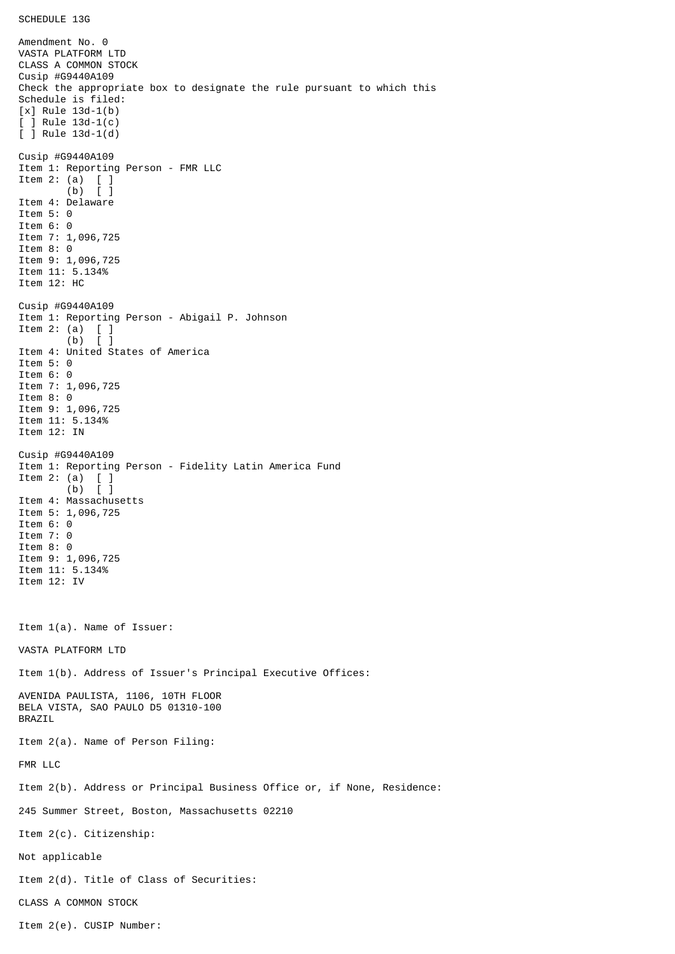Amendment No. 0 VASTA PLATFORM LTD CLASS A COMMON STOCK Cusip #G9440A109 Check the appropriate box to designate the rule pursuant to which this Schedule is filed: [x] Rule 13d-1(b) [ ] Rule 13d-1(c) [ ] Rule 13d-1(d) Cusip #G9440A109 Item 1: Reporting Person - FMR LLC Item 2: (a) [ ] (b) [ ] Item 4: Delaware Item 5: 0 Item 6: 0 Item 7: 1,096,725 Item 8: 0 Item 9: 1,096,725 Item 11: 5.134% Item 12: HC Cusip #G9440A109 Item 1: Reporting Person - Abigail P. Johnson Item 2: (a)  $\begin{bmatrix} 1 \\ 0 \end{bmatrix}$  $(b)$ Item 4: United States of America Item 5: 0 Item 6: 0 Item 7: 1,096,725 Item 8: 0 Item 9: 1,096,725 Item 11: 5.134% Item 12: IN Cusip #G9440A109 Item 1: Reporting Person - Fidelity Latin America Fund Item 2: (a) [ ] (b) [ ] Item 4: Massachusetts Item 5: 1,096,725 Item 6: 0 Item 7: 0 Item 8: 0 Item 9: 1,096,725 Item 11: 5.134% Item 12: IV Item 1(a). Name of Issuer: VASTA PLATFORM LTD Item 1(b). Address of Issuer's Principal Executive Offices: AVENIDA PAULISTA, 1106, 10TH FLOOR BELA VISTA, SAO PAULO D5 01310-100 BRAZIL Item 2(a). Name of Person Filing: FMR LLC Item 2(b). Address or Principal Business Office or, if None, Residence: 245 Summer Street, Boston, Massachusetts 02210 Item 2(c). Citizenship: Not applicable Item 2(d). Title of Class of Securities: CLASS A COMMON STOCK Item 2(e). CUSIP Number: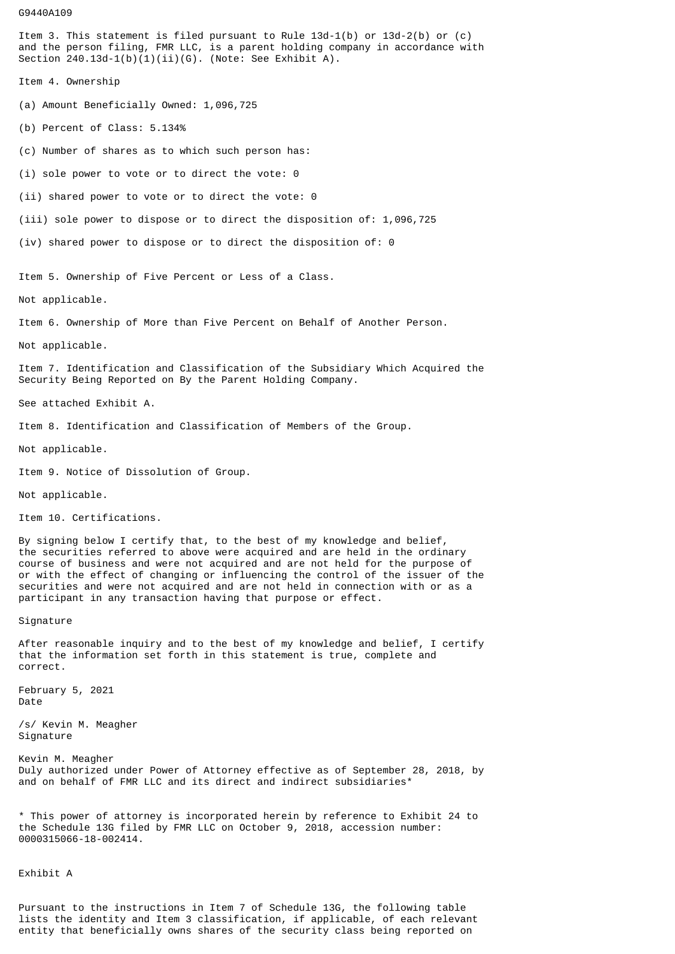## G9440A109

Item 3. This statement is filed pursuant to Rule 13d-1(b) or 13d-2(b) or (c) and the person filing, FMR LLC, is a parent holding company in accordance with Section  $240.13d-1(b)(1)(ii)(G)$ . (Note: See Exhibit A).

Item 4. Ownership

(a) Amount Beneficially Owned: 1,096,725

(b) Percent of Class: 5.134%

(c) Number of shares as to which such person has:

(i) sole power to vote or to direct the vote: 0

(ii) shared power to vote or to direct the vote: 0

(iii) sole power to dispose or to direct the disposition of: 1,096,725

(iv) shared power to dispose or to direct the disposition of: 0

Item 5. Ownership of Five Percent or Less of a Class.

Not applicable.

Item 6. Ownership of More than Five Percent on Behalf of Another Person.

Not applicable.

Item 7. Identification and Classification of the Subsidiary Which Acquired the Security Being Reported on By the Parent Holding Company.

See attached Exhibit A.

Item 8. Identification and Classification of Members of the Group.

Not applicable.

Item 9. Notice of Dissolution of Group.

## Not applicable.

Item 10. Certifications.

By signing below I certify that, to the best of my knowledge and belief, the securities referred to above were acquired and are held in the ordinary course of business and were not acquired and are not held for the purpose of or with the effect of changing or influencing the control of the issuer of the securities and were not acquired and are not held in connection with or as a participant in any transaction having that purpose or effect.

Signature

After reasonable inquiry and to the best of my knowledge and belief, I certify that the information set forth in this statement is true, complete and correct.

February 5, 2021 Date

/s/ Kevin M. Meagher Signature

Kevin M. Meagher Duly authorized under Power of Attorney effective as of September 28, 2018, by and on behalf of FMR LLC and its direct and indirect subsidiaries<sup>\*</sup>

\* This power of attorney is incorporated herein by reference to Exhibit 24 to the Schedule 13G filed by FMR LLC on October 9, 2018, accession number: 0000315066-18-002414.

Exhibit A

Pursuant to the instructions in Item 7 of Schedule 13G, the following table lists the identity and Item 3 classification, if applicable, of each relevant entity that beneficially owns shares of the security class being reported on